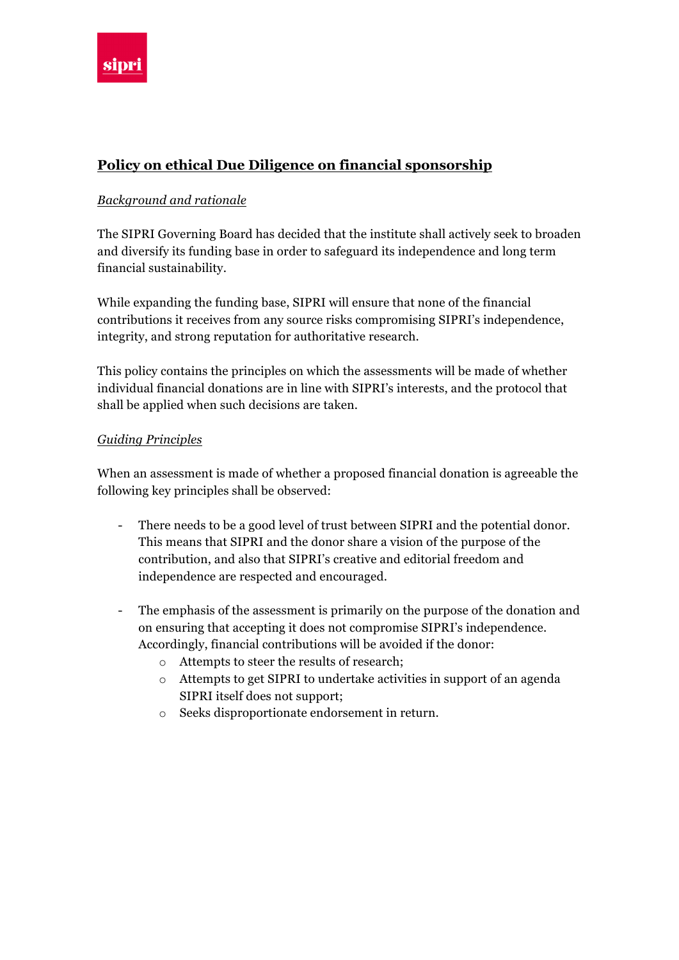

## **Policy on ethical Due Diligence on financial sponsorship**

## *Background and rationale*

The SIPRI Governing Board has decided that the institute shall actively seek to broaden and diversify its funding base in order to safeguard its independence and long term financial sustainability.

While expanding the funding base, SIPRI will ensure that none of the financial contributions it receives from any source risks compromising SIPRI's independence, integrity, and strong reputation for authoritative research.

This policy contains the principles on which the assessments will be made of whether individual financial donations are in line with SIPRI's interests, and the protocol that shall be applied when such decisions are taken.

## *Guiding Principles*

When an assessment is made of whether a proposed financial donation is agreeable the following key principles shall be observed:

- There needs to be a good level of trust between SIPRI and the potential donor. This means that SIPRI and the donor share a vision of the purpose of the contribution, and also that SIPRI's creative and editorial freedom and independence are respected and encouraged.
- The emphasis of the assessment is primarily on the purpose of the donation and on ensuring that accepting it does not compromise SIPRI's independence. Accordingly, financial contributions will be avoided if the donor:
	- o Attempts to steer the results of research;
	- o Attempts to get SIPRI to undertake activities in support of an agenda SIPRI itself does not support;
	- o Seeks disproportionate endorsement in return.